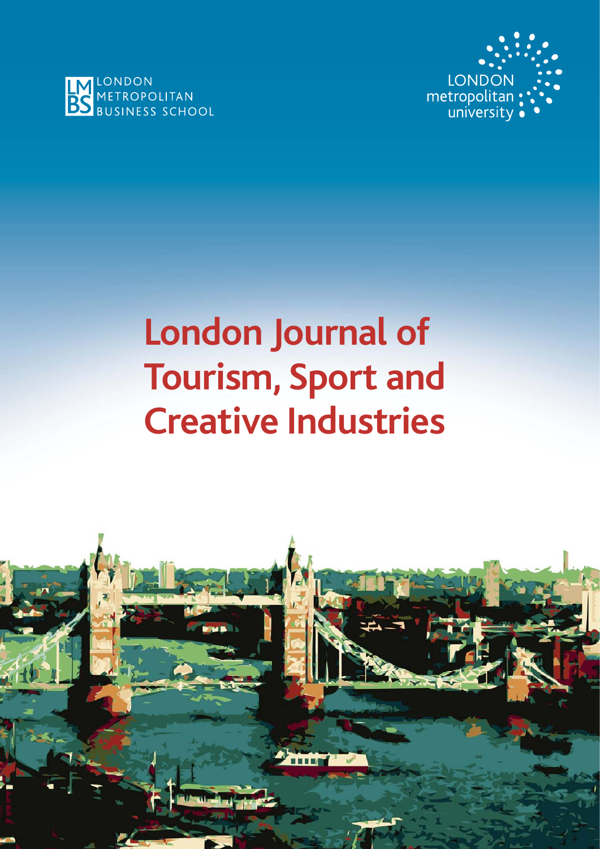



# **London Journal of Tourism, Sport and Creative Industries**

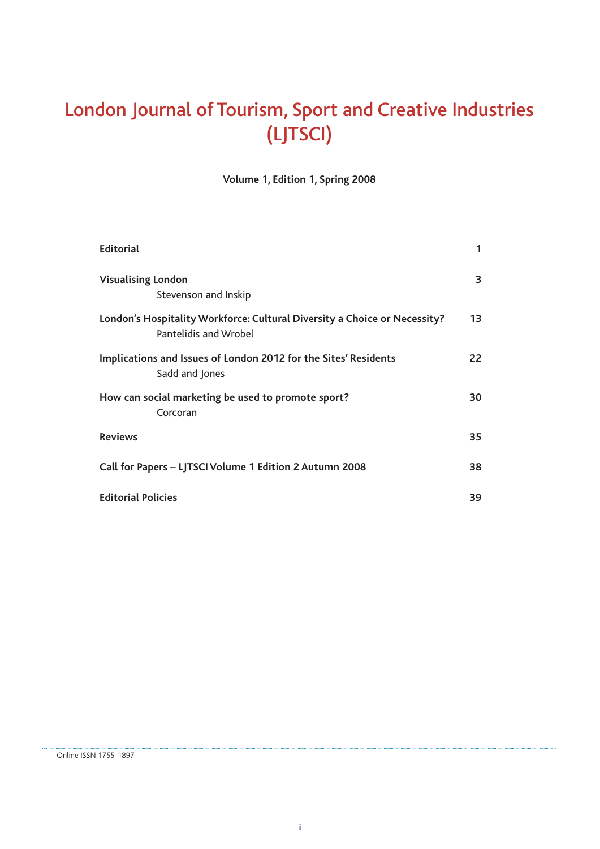# London Journal of Tourism, Sport and Creative Industries (LJTSCI)

**Volume 1, Edition 1, Spring 2008**

| <b>Editorial</b>                                                                                   | 1  |
|----------------------------------------------------------------------------------------------------|----|
| <b>Visualising London</b><br>Stevenson and Inskip                                                  | 3  |
| London's Hospitality Workforce: Cultural Diversity a Choice or Necessity?<br>Pantelidis and Wrobel | 13 |
| Implications and Issues of London 2012 for the Sites' Residents<br>Sadd and Jones                  | 22 |
| How can social marketing be used to promote sport?<br>Corcoran                                     | 30 |
| <b>Reviews</b>                                                                                     | 35 |
| Call for Papers - LJTSCI Volume 1 Edition 2 Autumn 2008                                            | 38 |
| <b>Editorial Policies</b>                                                                          | 39 |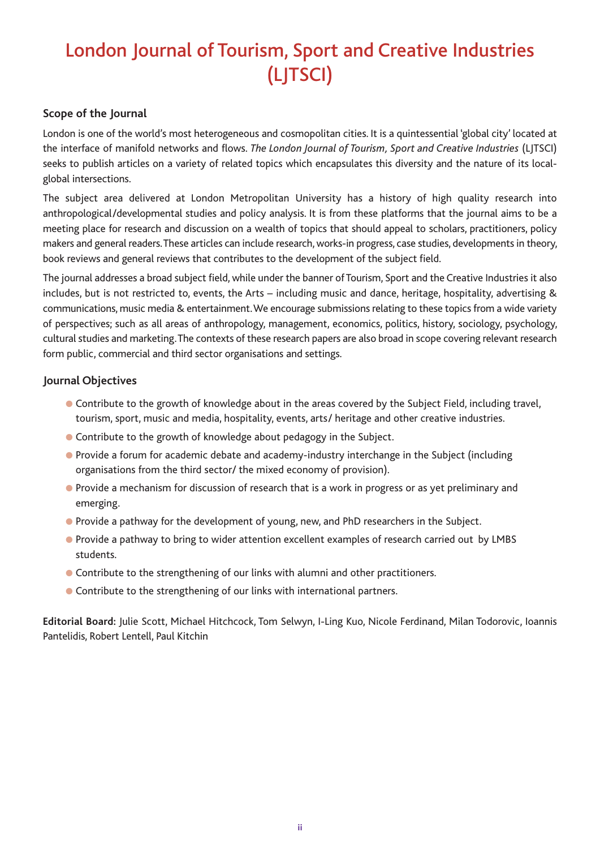# London Journal of Tourism, Sport and Creative Industries (LJTSCI)

#### **Scope of the Journal**

London is one of the world's most heterogeneous and cosmopolitan cities. It is a quintessential 'global city' located at the interface of manifold networks and flows. *The London Journal of Tourism, Sport and Creative Industries* (LJTSCI) seeks to publish articles on a variety of related topics which encapsulates this diversity and the nature of its localglobal intersections.

The subject area delivered at London Metropolitan University has a history of high quality research into anthropological/developmental studies and policy analysis. It is from these platforms that the journal aims to be a meeting place for research and discussion on a wealth of topics that should appeal to scholars, practitioners, policy makers and general readers. These articles can include research, works-in progress, case studies, developments in theory, book reviews and general reviews that contributes to the development of the subject field.

The journal addresses a broad subject field, while under the banner of Tourism, Sport and the Creative Industries it also includes, but is not restricted to, events, the Arts – including music and dance, heritage, hospitality, advertising & communications, music media & entertainment. We encourage submissions relating to these topics from a wide variety of perspectives; such as all areas of anthropology, management, economics, politics, history, sociology, psychology, cultural studies and marketing. The contexts of these research papers are also broad in scope covering relevant research form public, commercial and third sector organisations and settings.

#### **Journal Objectives**

- Contribute to the growth of knowledge about in the areas covered by the Subject Field, including travel, tourism, sport, music and media, hospitality, events, arts/ heritage and other creative industries.
- Contribute to the growth of knowledge about pedagogy in the Subject.
- Provide a forum for academic debate and academy-industry interchange in the Subject (including organisations from the third sector/ the mixed economy of provision).
- Provide a mechanism for discussion of research that is a work in progress or as yet preliminary and emerging.
- Provide a pathway for the development of young, new, and PhD researchers in the Subject.
- Provide a pathway to bring to wider attention excellent examples of research carried out by LMBS students.
- Contribute to the strengthening of our links with alumni and other practitioners.
- Contribute to the strengthening of our links with international partners.

**Editorial Board:** Julie Scott, Michael Hitchcock, Tom Selwyn, I-Ling Kuo, Nicole Ferdinand, Milan Todorovic, Ioannis Pantelidis, Robert Lentell, Paul Kitchin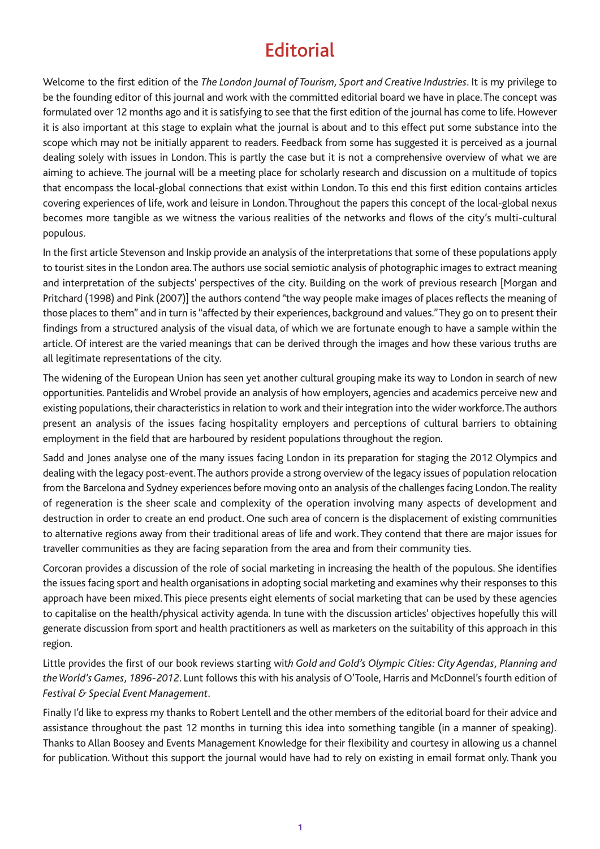# **Editorial**

Welcome to the first edition of the *The London Journal of Tourism, Sport and Creative Industries*. It is my privilege to be the founding editor of this journal and work with the committed editorial board we have in place. The concept was formulated over 12 months ago and it is satisfying to see that the first edition of the journal has come to life. However it is also important at this stage to explain what the journal is about and to this effect put some substance into the scope which may not be initially apparent to readers. Feedback from some has suggested it is perceived as a journal dealing solely with issues in London. This is partly the case but it is not a comprehensive overview of what we are aiming to achieve. The journal will be a meeting place for scholarly research and discussion on a multitude of topics that encompass the local-global connections that exist within London. To this end this first edition contains articles covering experiences of life, work and leisure in London. Throughout the papers this concept of the local-global nexus becomes more tangible as we witness the various realities of the networks and flows of the city's multi-cultural populous.

In the first article Stevenson and Inskip provide an analysis of the interpretations that some of these populations apply to tourist sites in the London area. The authors use social semiotic analysis of photographic images to extract meaning and interpretation of the subjects' perspectives of the city. Building on the work of previous research [Morgan and Pritchard (1998) and Pink (2007)] the authors contend "the way people make images of places reflects the meaning of those places to them" and in turn is "affected by their experiences, background and values." They go on to present their findings from a structured analysis of the visual data, of which we are fortunate enough to have a sample within the article. Of interest are the varied meanings that can be derived through the images and how these various truths are all legitimate representations of the city.

The widening of the European Union has seen yet another cultural grouping make its way to London in search of new opportunities. Pantelidis and Wrobel provide an analysis of how employers, agencies and academics perceive new and existing populations, their characteristics in relation to work and their integration into the wider workforce. The authors present an analysis of the issues facing hospitality employers and perceptions of cultural barriers to obtaining employment in the field that are harboured by resident populations throughout the region.

Sadd and Jones analyse one of the many issues facing London in its preparation for staging the 2012 Olympics and dealing with the legacy post-event. The authors provide a strong overview of the legacy issues of population relocation from the Barcelona and Sydney experiences before moving onto an analysis of the challenges facing London. The reality of regeneration is the sheer scale and complexity of the operation involving many aspects of development and destruction in order to create an end product. One such area of concern is the displacement of existing communities to alternative regions away from their traditional areas of life and work. They contend that there are major issues for traveller communities as they are facing separation from the area and from their community ties.

Corcoran provides a discussion of the role of social marketing in increasing the health of the populous. She identifies the issues facing sport and health organisations in adopting social marketing and examines why their responses to this approach have been mixed. This piece presents eight elements of social marketing that can be used by these agencies to capitalise on the health/physical activity agenda. In tune with the discussion articles' objectives hopefully this will generate discussion from sport and health practitioners as well as marketers on the suitability of this approach in this region.

Little provides the first of our book reviews starting wit*h Gold and Gold's Olympic Cities: City Agendas, Planning and the World's Games, 1896-2012*. Lunt follows this with his analysis of O'Toole, Harris and McDonnel's fourth edition of *Festival & Special Event Management.* 

Finally I'd like to express my thanks to Robert Lentell and the other members of the editorial board for their advice and assistance throughout the past 12 months in turning this idea into something tangible (in a manner of speaking). Thanks to Allan Boosey and Events Management Knowledge for their flexibility and courtesy in allowing us a channel for publication. Without this support the journal would have had to rely on existing in email format only. Thank you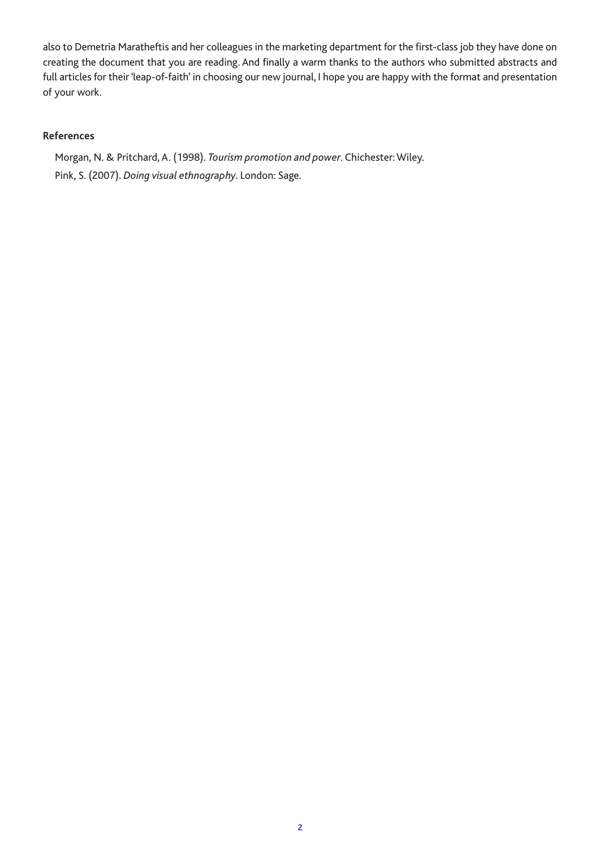also to Demetria Maratheftis and her colleagues in the marketing department for the first-class job they have done on creating the document that you are reading. And finally a warm thanks to the authors who submitted abstracts and full articles for their 'leap-of-faith' in choosing our new journal, I hope you are happy with the format and presentation of your work.

#### **References**

Morgan, N. & Pritchard, A. (1998). *Tourism promotion and power*. Chichester: Wiley. Pink, S. (2007). *Doing visual ethnography*. London: Sage.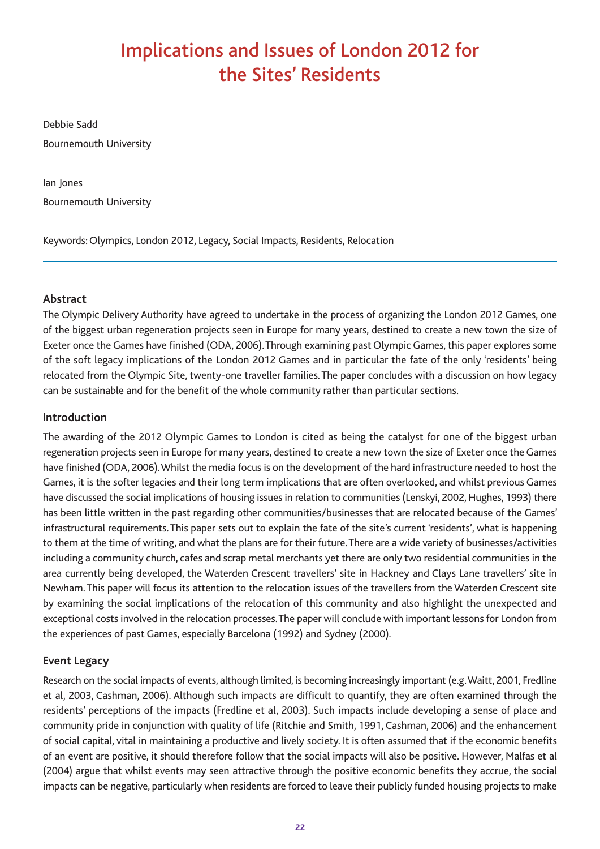# Implications and Issues of London 2012 for the Sites' Residents

Debbie Sadd Bournemouth University

Ian Jones Bournemouth University

Keywords: Olympics, London 2012, Legacy, Social Impacts, Residents, Relocation

# **Abstract**

The Olympic Delivery Authority have agreed to undertake in the process of organizing the London 2012 Games, one of the biggest urban regeneration projects seen in Europe for many years, destined to create a new town the size of Exeter once the Games have finished (ODA, 2006). Through examining past Olympic Games, this paper explores some of the soft legacy implications of the London 2012 Games and in particular the fate of the only 'residents' being relocated from the Olympic Site, twenty-one traveller families. The paper concludes with a discussion on how legacy can be sustainable and for the benefit of the whole community rather than particular sections.

### **Introduction**

The awarding of the 2012 Olympic Games to London is cited as being the catalyst for one of the biggest urban regeneration projects seen in Europe for many years, destined to create a new town the size of Exeter once the Games have finished (ODA, 2006). Whilst the media focus is on the development of the hard infrastructure needed to host the Games, it is the softer legacies and their long term implications that are often overlooked, and whilst previous Games have discussed the social implications of housing issues in relation to communities (Lenskyi, 2002, Hughes, 1993) there has been little written in the past regarding other communities/businesses that are relocated because of the Games' infrastructural requirements. This paper sets out to explain the fate of the site's current 'residents', what is happening to them at the time of writing, and what the plans are for their future. There are a wide variety of businesses/activities including a community church, cafes and scrap metal merchants yet there are only two residential communities in the area currently being developed, the Waterden Crescent travellers' site in Hackney and Clays Lane travellers' site in Newham. This paper will focus its attention to the relocation issues of the travellers from the Waterden Crescent site by examining the social implications of the relocation of this community and also highlight the unexpected and exceptional costs involved in the relocation processes. The paper will conclude with important lessons for London from the experiences of past Games, especially Barcelona (1992) and Sydney (2000).

### **Event Legacy**

Research on the social impacts of events, although limited, is becoming increasingly important (e.g. Waitt, 2001, Fredline et al, 2003, Cashman, 2006). Although such impacts are difficult to quantify, they are often examined through the residents' perceptions of the impacts (Fredline et al, 2003). Such impacts include developing a sense of place and community pride in conjunction with quality of life (Ritchie and Smith, 1991, Cashman, 2006) and the enhancement of social capital, vital in maintaining a productive and lively society. It is often assumed that if the economic benefits of an event are positive, it should therefore follow that the social impacts will also be positive. However, Malfas et al (2004) argue that whilst events may seen attractive through the positive economic benefits they accrue, the social impacts can be negative, particularly when residents are forced to leave their publicly funded housing projects to make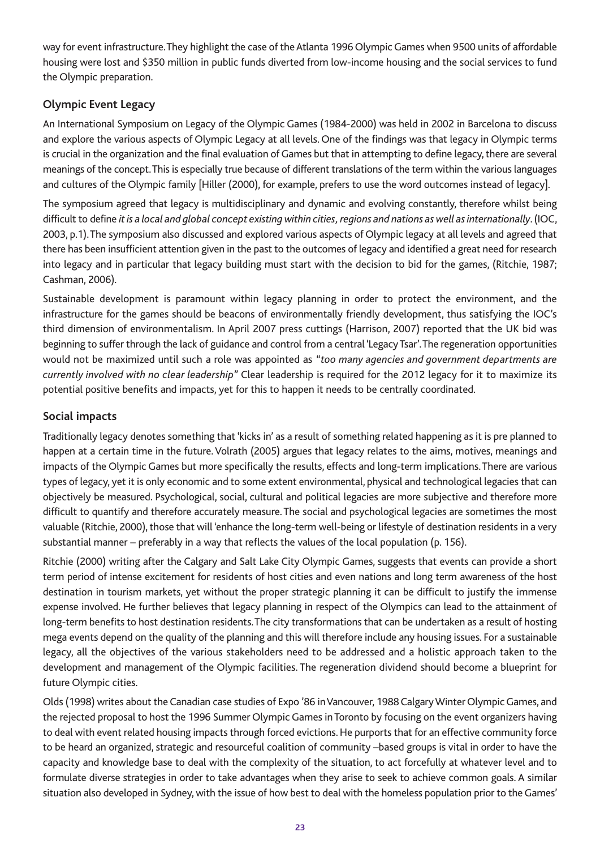way for event infrastructure. They highlight the case of the Atlanta 1996 Olympic Games when 9500 units of affordable housing were lost and \$350 million in public funds diverted from low-income housing and the social services to fund the Olympic preparation.

## **Olympic Event Legacy**

An International Symposium on Legacy of the Olympic Games (1984-2000) was held in 2002 in Barcelona to discuss and explore the various aspects of Olympic Legacy at all levels. One of the findings was that legacy in Olympic terms is crucial in the organization and the final evaluation of Games but that in attempting to define legacy, there are several meanings of the concept. This is especially true because of different translations of the term within the various languages and cultures of the Olympic family [Hiller (2000), for example, prefers to use the word outcomes instead of legacy].

The symposium agreed that legacy is multidisciplinary and dynamic and evolving constantly, therefore whilst being difficult to define *it is a local and global concept existing within cities, regions and nations as well as internationally*. (IOC, 2003, p.1). The symposium also discussed and explored various aspects of Olympic legacy at all levels and agreed that there has been insufficient attention given in the past to the outcomes of legacy and identified a great need for research into legacy and in particular that legacy building must start with the decision to bid for the games, (Ritchie, 1987; Cashman, 2006).

Sustainable development is paramount within legacy planning in order to protect the environment, and the infrastructure for the games should be beacons of environmentally friendly development, thus satisfying the IOC's third dimension of environmentalism. In April 2007 press cuttings (Harrison, 2007) reported that the UK bid was beginning to suffer through the lack of guidance and control from a central 'Legacy Tsar'. The regeneration opportunities would not be maximized until such a role was appointed as *"too many agencies and government departments are currently involved with no clear leadership*" Clear leadership is required for the 2012 legacy for it to maximize its potential positive benefits and impacts, yet for this to happen it needs to be centrally coordinated.

### **Social impacts**

Traditionally legacy denotes something that 'kicks in' as a result of something related happening as it is pre planned to happen at a certain time in the future. Volrath (2005) argues that legacy relates to the aims, motives, meanings and impacts of the Olympic Games but more specifically the results, effects and long-term implications. There are various types of legacy, yet it is only economic and to some extent environmental, physical and technological legacies that can objectively be measured. Psychological, social, cultural and political legacies are more subjective and therefore more difficult to quantify and therefore accurately measure. The social and psychological legacies are sometimes the most valuable (Ritchie, 2000), those that will 'enhance the long-term well-being or lifestyle of destination residents in a very substantial manner – preferably in a way that reflects the values of the local population (p. 156).

Ritchie (2000) writing after the Calgary and Salt Lake City Olympic Games, suggests that events can provide a short term period of intense excitement for residents of host cities and even nations and long term awareness of the host destination in tourism markets, yet without the proper strategic planning it can be difficult to justify the immense expense involved. He further believes that legacy planning in respect of the Olympics can lead to the attainment of long-term benefits to host destination residents. The city transformations that can be undertaken as a result of hosting mega events depend on the quality of the planning and this will therefore include any housing issues. For a sustainable legacy, all the objectives of the various stakeholders need to be addressed and a holistic approach taken to the development and management of the Olympic facilities. The regeneration dividend should become a blueprint for future Olympic cities.

Olds (1998) writes about the Canadian case studies of Expo '86 in Vancouver, 1988 Calgary Winter Olympic Games, and the rejected proposal to host the 1996 Summer Olympic Games in Toronto by focusing on the event organizers having to deal with event related housing impacts through forced evictions. He purports that for an effective community force to be heard an organized, strategic and resourceful coalition of community –based groups is vital in order to have the capacity and knowledge base to deal with the complexity of the situation, to act forcefully at whatever level and to formulate diverse strategies in order to take advantages when they arise to seek to achieve common goals. A similar situation also developed in Sydney, with the issue of how best to deal with the homeless population prior to the Games'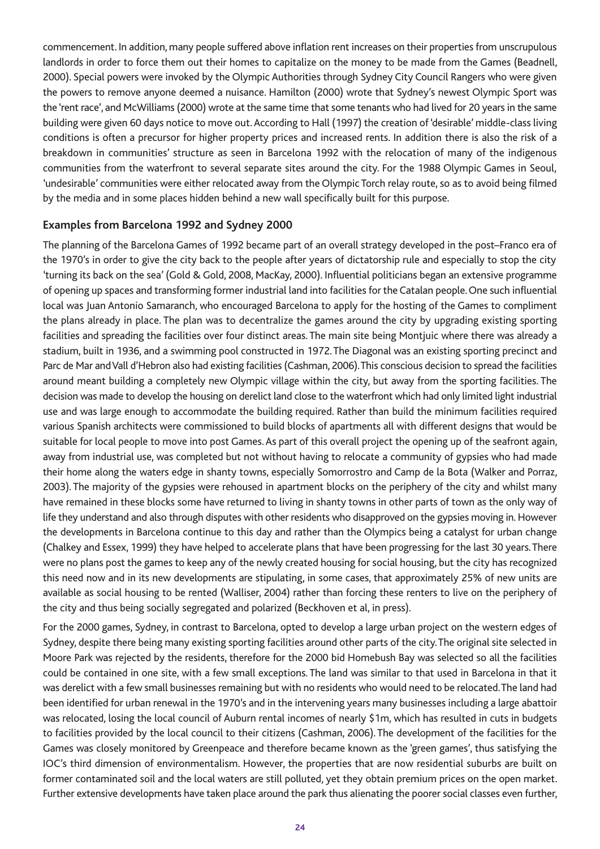commencement. In addition, many people suffered above inflation rent increases on their properties from unscrupulous landlords in order to force them out their homes to capitalize on the money to be made from the Games (Beadnell, 2000). Special powers were invoked by the Olympic Authorities through Sydney City Council Rangers who were given the powers to remove anyone deemed a nuisance. Hamilton (2000) wrote that Sydney's newest Olympic Sport was the 'rent race', and McWilliams (2000) wrote at the same time that some tenants who had lived for 20 years in the same building were given 60 days notice to move out. According to Hall (1997) the creation of 'desirable' middle-class living conditions is often a precursor for higher property prices and increased rents. In addition there is also the risk of a breakdown in communities' structure as seen in Barcelona 1992 with the relocation of many of the indigenous communities from the waterfront to several separate sites around the city. For the 1988 Olympic Games in Seoul, 'undesirable' communities were either relocated away from the Olympic Torch relay route, so as to avoid being filmed by the media and in some places hidden behind a new wall specifically built for this purpose.

#### **Examples from Barcelona 1992 and Sydney 2000**

The planning of the Barcelona Games of 1992 became part of an overall strategy developed in the post–Franco era of the 1970's in order to give the city back to the people after years of dictatorship rule and especially to stop the city 'turning its back on the sea' (Gold & Gold, 2008, MacKay, 2000). Influential politicians began an extensive programme of opening up spaces and transforming former industrial land into facilities for the Catalan people. One such influential local was Juan Antonio Samaranch, who encouraged Barcelona to apply for the hosting of the Games to compliment the plans already in place. The plan was to decentralize the games around the city by upgrading existing sporting facilities and spreading the facilities over four distinct areas. The main site being Montjuic where there was already a stadium, built in 1936, and a swimming pool constructed in 1972. The Diagonal was an existing sporting precinct and Parc de Mar and Vall d'Hebron also had existing facilities (Cashman, 2006). This conscious decision to spread the facilities around meant building a completely new Olympic village within the city, but away from the sporting facilities. The decision was made to develop the housing on derelict land close to the waterfront which had only limited light industrial use and was large enough to accommodate the building required. Rather than build the minimum facilities required various Spanish architects were commissioned to build blocks of apartments all with different designs that would be suitable for local people to move into post Games. As part of this overall project the opening up of the seafront again, away from industrial use, was completed but not without having to relocate a community of gypsies who had made their home along the waters edge in shanty towns, especially Somorrostro and Camp de la Bota (Walker and Porraz, 2003). The majority of the gypsies were rehoused in apartment blocks on the periphery of the city and whilst many have remained in these blocks some have returned to living in shanty towns in other parts of town as the only way of life they understand and also through disputes with other residents who disapproved on the gypsies moving in. However the developments in Barcelona continue to this day and rather than the Olympics being a catalyst for urban change (Chalkey and Essex, 1999) they have helped to accelerate plans that have been progressing for the last 30 years. There were no plans post the games to keep any of the newly created housing for social housing, but the city has recognized this need now and in its new developments are stipulating, in some cases, that approximately 25% of new units are available as social housing to be rented (Walliser, 2004) rather than forcing these renters to live on the periphery of the city and thus being socially segregated and polarized (Beckhoven et al, in press).

For the 2000 games, Sydney, in contrast to Barcelona, opted to develop a large urban project on the western edges of Sydney, despite there being many existing sporting facilities around other parts of the city. The original site selected in Moore Park was rejected by the residents, therefore for the 2000 bid Homebush Bay was selected so all the facilities could be contained in one site, with a few small exceptions. The land was similar to that used in Barcelona in that it was derelict with a few small businesses remaining but with no residents who would need to be relocated. The land had been identified for urban renewal in the 1970's and in the intervening years many businesses including a large abattoir was relocated, losing the local council of Auburn rental incomes of nearly \$1m, which has resulted in cuts in budgets to facilities provided by the local council to their citizens (Cashman, 2006). The development of the facilities for the Games was closely monitored by Greenpeace and therefore became known as the 'green games', thus satisfying the IOC's third dimension of environmentalism. However, the properties that are now residential suburbs are built on former contaminated soil and the local waters are still polluted, yet they obtain premium prices on the open market. Further extensive developments have taken place around the park thus alienating the poorer social classes even further,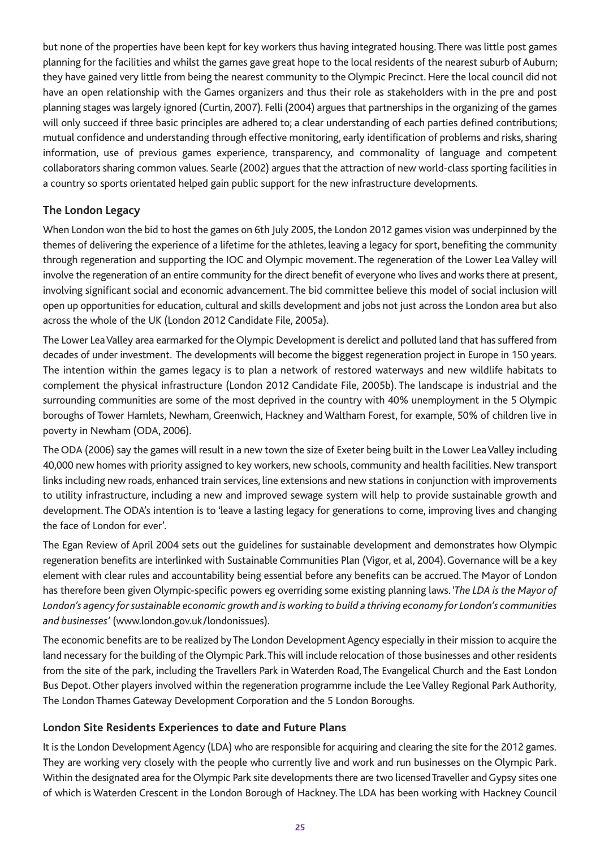but none of the properties have been kept for key workers thus having integrated housing. There was little post games planning for the facilities and whilst the games gave great hope to the local residents of the nearest suburb of Auburn; they have gained very little from being the nearest community to the Olympic Precinct. Here the local council did not have an open relationship with the Games organizers and thus their role as stakeholders with in the pre and post planning stages was largely ignored (Curtin, 2007). Felli (2004) argues that partnerships in the organizing of the games will only succeed if three basic principles are adhered to; a clear understanding of each parties defined contributions; mutual confidence and understanding through effective monitoring, early identification of problems and risks, sharing information, use of previous games experience, transparency, and commonality of language and competent collaborators sharing common values. Searle (2002) argues that the attraction of new world-class sporting facilities in a country so sports orientated helped gain public support for the new infrastructure developments.

### **The London Legacy**

When London won the bid to host the games on 6th July 2005, the London 2012 games vision was underpinned by the themes of delivering the experience of a lifetime for the athletes, leaving a legacy for sport, benefiting the community through regeneration and supporting the IOC and Olympic movement. The regeneration of the Lower Lea Valley will involve the regeneration of an entire community for the direct benefit of everyone who lives and works there at present, involving significant social and economic advancement. The bid committee believe this model of social inclusion will open up opportunities for education, cultural and skills development and jobs not just across the London area but also across the whole of the UK (London 2012 Candidate File, 2005a).

The Lower Lea Valley area earmarked for the Olympic Development is derelict and polluted land that has suffered from decades of under investment. The developments will become the biggest regeneration project in Europe in 150 years. The intention within the games legacy is to plan a network of restored waterways and new wildlife habitats to complement the physical infrastructure (London 2012 Candidate File, 2005b). The landscape is industrial and the surrounding communities are some of the most deprived in the country with 40% unemployment in the 5 Olympic boroughs of Tower Hamlets, Newham, Greenwich, Hackney and Waltham Forest, for example, 50% of children live in poverty in Newham (ODA, 2006).

The ODA (2006) say the games will result in a new town the size of Exeter being built in the Lower Lea Valley including 40,000 new homes with priority assigned to key workers, new schools, community and health facilities. New transport links including new roads, enhanced train services, line extensions and new stations in conjunction with improvements to utility infrastructure, including a new and improved sewage system will help to provide sustainable growth and development. The ODA's intention is to 'leave a lasting legacy for generations to come, improving lives and changing the face of London for ever'.

The Egan Review of April 2004 sets out the guidelines for sustainable development and demonstrates how Olympic regeneration benefits are interlinked with Sustainable Communities Plan (Vigor, et al, 2004). Governance will be a key element with clear rules and accountability being essential before any benefits can be accrued. The Mayor of London has therefore been given Olympic-specific powers eg overriding some existing planning laws. '*The LDA is the Mayor of London's agency for sustainable economic growth and is working to build a thriving economy for London's communities and businesses'* (www.london.gov.uk/londonissues).

The economic benefits are to be realized by The London Development Agency especially in their mission to acquire the land necessary for the building of the Olympic Park. This will include relocation of those businesses and other residents from the site of the park, including the Travellers Park in Waterden Road, The Evangelical Church and the East London Bus Depot. Other players involved within the regeneration programme include the Lee Valley Regional Park Authority, The London Thames Gateway Development Corporation and the 5 London Boroughs.

### **London Site Residents Experiences to date and Future Plans**

It is the London Development Agency (LDA) who are responsible for acquiring and clearing the site for the 2012 games. They are working very closely with the people who currently live and work and run businesses on the Olympic Park. Within the designated area for the Olympic Park site developments there are two licensed Traveller and Gypsy sites one of which is Waterden Crescent in the London Borough of Hackney. The LDA has been working with Hackney Council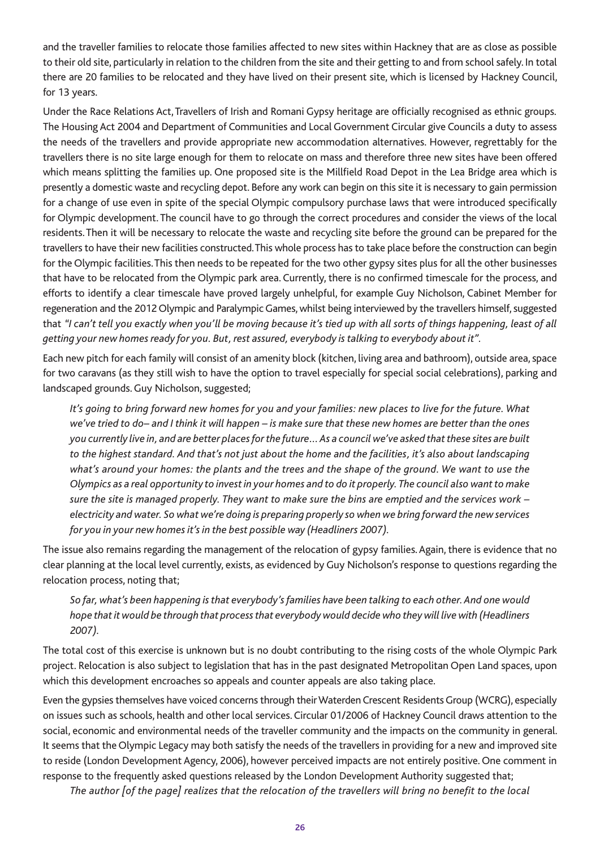and the traveller families to relocate those families affected to new sites within Hackney that are as close as possible to their old site, particularly in relation to the children from the site and their getting to and from school safely. In total there are 20 families to be relocated and they have lived on their present site, which is licensed by Hackney Council, for 13 years.

Under the Race Relations Act, Travellers of Irish and Romani Gypsy heritage are officially recognised as ethnic groups. The Housing Act 2004 and Department of Communities and Local Government Circular give Councils a duty to assess the needs of the travellers and provide appropriate new accommodation alternatives. However, regrettably for the travellers there is no site large enough for them to relocate on mass and therefore three new sites have been offered which means splitting the families up. One proposed site is the Millfield Road Depot in the Lea Bridge area which is presently a domestic waste and recycling depot. Before any work can begin on this site it is necessary to gain permission for a change of use even in spite of the special Olympic compulsory purchase laws that were introduced specifically for Olympic development. The council have to go through the correct procedures and consider the views of the local residents. Then it will be necessary to relocate the waste and recycling site before the ground can be prepared for the travellers to have their new facilities constructed. This whole process has to take place before the construction can begin for the Olympic facilities. This then needs to be repeated for the two other gypsy sites plus for all the other businesses that have to be relocated from the Olympic park area. Currently, there is no confirmed timescale for the process, and efforts to identify a clear timescale have proved largely unhelpful, for example Guy Nicholson, Cabinet Member for regeneration and the 2012 Olympic and Paralympic Games, whilst being interviewed by the travellers himself, suggested that *"I can't tell you exactly when you'll be moving because it's tied up with all sorts of things happening, least of all getting your new homes ready for you. But, rest assured, everybody is talking to everybody about it".*

Each new pitch for each family will consist of an amenity block (kitchen, living area and bathroom), outside area, space for two caravans (as they still wish to have the option to travel especially for special social celebrations), parking and landscaped grounds. Guy Nicholson, suggested;

*It's going to bring forward new homes for you and your families: new places to live for the future. What we've tried to do– and I think it will happen – is make sure that these new homes are better than the ones you currently live in, and are better places for the future… As a council we've asked that these sites are built to the highest standard. And that's not just about the home and the facilities, it's also about landscaping what's around your homes: the plants and the trees and the shape of the ground. We want to use the Olympics as a real opportunity to invest in your homes and to do it properly. The council also want to make sure the site is managed properly. They want to make sure the bins are emptied and the services work – electricity and water. So what we're doing is preparing properly so when we bring forward the new services for you in your new homes it's in the best possible way (Headliners 2007).*

The issue also remains regarding the management of the relocation of gypsy families. Again, there is evidence that no clear planning at the local level currently, exists, as evidenced by Guy Nicholson's response to questions regarding the relocation process, noting that;

### *So far, what's been happening is that everybody's families have been talking to each other. And one would hope that it would be through that process that everybody would decide who they will live with (Headliners 2007).*

The total cost of this exercise is unknown but is no doubt contributing to the rising costs of the whole Olympic Park project. Relocation is also subject to legislation that has in the past designated Metropolitan Open Land spaces, upon which this development encroaches so appeals and counter appeals are also taking place.

Even the gypsies themselves have voiced concerns through their Waterden Crescent Residents Group (WCRG), especially on issues such as schools, health and other local services. Circular 01/2006 of Hackney Council draws attention to the social, economic and environmental needs of the traveller community and the impacts on the community in general. It seems that the Olympic Legacy may both satisfy the needs of the travellers in providing for a new and improved site to reside (London Development Agency, 2006), however perceived impacts are not entirely positive. One comment in response to the frequently asked questions released by the London Development Authority suggested that;

*The author [of the page] realizes that the relocation of the travellers will bring no benefit to the local*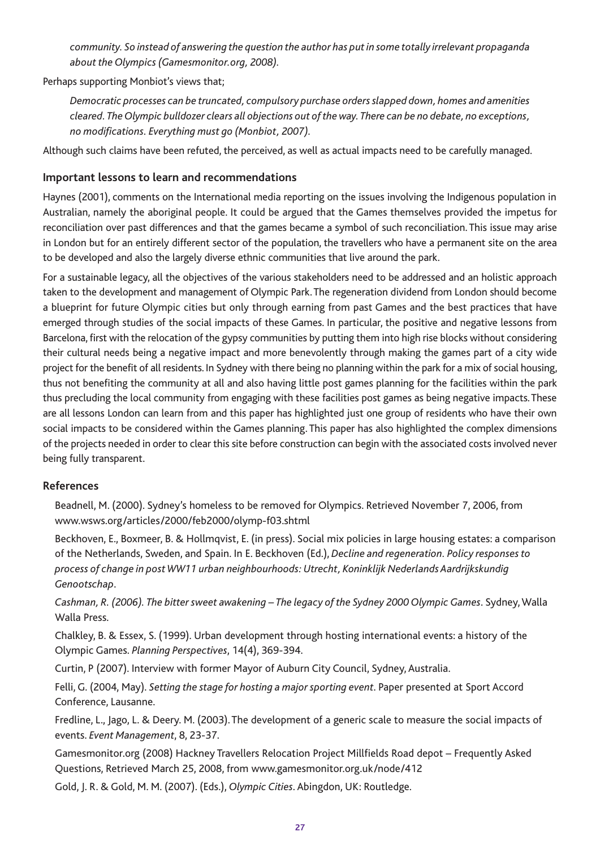*community. So instead of answering the question the author has put in some totally irrelevant propaganda about the Olympics (Gamesmonitor.org, 2008).*

Perhaps supporting Monbiot's views that;

*Democratic processes can be truncated, compulsory purchase orders slapped down, homes and amenities cleared. The Olympic bulldozer clears all objections out of the way. There can be no debate, no exceptions, no modifications. Everything must go (Monbiot, 2007).*

Although such claims have been refuted, the perceived, as well as actual impacts need to be carefully managed.

#### **Important lessons to learn and recommendations**

Haynes (2001), comments on the International media reporting on the issues involving the Indigenous population in Australian, namely the aboriginal people. It could be argued that the Games themselves provided the impetus for reconciliation over past differences and that the games became a symbol of such reconciliation. This issue may arise in London but for an entirely different sector of the population, the travellers who have a permanent site on the area to be developed and also the largely diverse ethnic communities that live around the park.

For a sustainable legacy, all the objectives of the various stakeholders need to be addressed and an holistic approach taken to the development and management of Olympic Park. The regeneration dividend from London should become a blueprint for future Olympic cities but only through earning from past Games and the best practices that have emerged through studies of the social impacts of these Games. In particular, the positive and negative lessons from Barcelona, first with the relocation of the gypsy communities by putting them into high rise blocks without considering their cultural needs being a negative impact and more benevolently through making the games part of a city wide project for the benefit of all residents. In Sydney with there being no planning within the park for a mix of social housing, thus not benefiting the community at all and also having little post games planning for the facilities within the park thus precluding the local community from engaging with these facilities post games as being negative impacts. These are all lessons London can learn from and this paper has highlighted just one group of residents who have their own social impacts to be considered within the Games planning. This paper has also highlighted the complex dimensions of the projects needed in order to clear this site before construction can begin with the associated costs involved never being fully transparent.

#### **References**

Beadnell, M. (2000). Sydney's homeless to be removed for Olympics. Retrieved November 7, 2006, from www.wsws.org/articles/2000/feb2000/olymp-f03.shtml

Beckhoven, E., Boxmeer, B. & Hollmqvist, E. (in press). Social mix policies in large housing estates: a comparison of the Netherlands, Sweden, and Spain. In E. Beckhoven (Ed.), *Decline and regeneration. Policy responses to process of change in post WW11 urban neighbourhoods: Utrecht, Koninklijk Nederlands Aardrijkskundig Genootschap*.

*Cashman, R. (2006). The bitter sweet awakening – The legacy of the Sydney 2000 Olympic Games*. Sydney, Walla Walla Press.

Chalkley, B. & Essex, S. (1999). Urban development through hosting international events: a history of the Olympic Games. *Planning Perspectives*, 14(4), 369-394.

Curtin, P (2007). Interview with former Mayor of Auburn City Council, Sydney, Australia.

Felli, G. (2004, May). *Setting the stage for hosting a major sporting event*. Paper presented at Sport Accord Conference, Lausanne.

Fredline, L., Jago, L. & Deery. M. (2003). The development of a generic scale to measure the social impacts of events. *Event Management*, 8, 23-37.

Gamesmonitor.org (2008) Hackney Travellers Relocation Project Millfields Road depot – Frequently Asked Questions, Retrieved March 25, 2008, from www.gamesmonitor.org.uk/node/412

Gold, J. R. & Gold, M. M. (2007). (Eds.), *Olympic Cities*. Abingdon, UK: Routledge.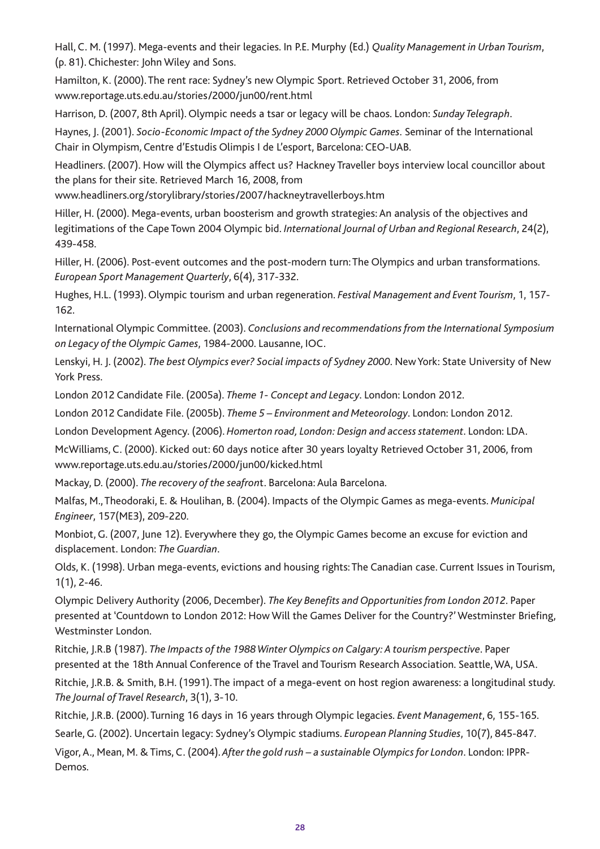Hall, C. M. (1997). Mega-events and their legacies. In P.E. Murphy (Ed.) *Quality Management in Urban Tourism*, (p. 81). Chichester: John Wiley and Sons.

Hamilton, K. (2000). The rent race: Sydney's new Olympic Sport. Retrieved October 31, 2006, from www.reportage.uts.edu.au/stories/2000/jun00/rent.html

Harrison, D. (2007, 8th April). Olympic needs a tsar or legacy will be chaos. London: *Sunday Telegraph*.

Haynes, J. (2001). *Socio-Economic Impact of the Sydney 2000 Olympic Games.* Seminar of the International Chair in Olympism, Centre d'Estudis Olimpis I de L'esport, Barcelona: CEO-UAB.

Headliners. (2007). How will the Olympics affect us? Hackney Traveller boys interview local councillor about the plans for their site. Retrieved March 16, 2008, from

www.headliners.org/storylibrary/stories/2007/hackneytravellerboys.htm

Hiller, H. (2000). Mega-events, urban boosterism and growth strategies: An analysis of the objectives and legitimations of the Cape Town 2004 Olympic bid. *International Journal of Urban and Regional Research*, 24(2), 439-458.

Hiller, H. (2006). Post-event outcomes and the post-modern turn: The Olympics and urban transformations. *European Sport Management Quarterly*, 6(4), 317-332.

Hughes, H.L. (1993). Olympic tourism and urban regeneration. *Festival Management and Event Tourism*, 1, 157- 162.

International Olympic Committee. (2003). *Conclusions and recommendations from the International Symposium on Legacy of the Olympic Games*, 1984-2000. Lausanne, IOC.

Lenskyi, H. J. (2002). *The best Olympics ever? Social impacts of Sydney 2000*. New York: State University of New York Press.

London 2012 Candidate File. (2005a). *Theme 1- Concept and Legacy*. London: London 2012.

London 2012 Candidate File. (2005b). *Theme 5 – Environment and Meteorology*. London: London 2012.

London Development Agency. (2006). *Homerton road, London: Design and access statement*. London: LDA.

McWilliams, C. (2000). Kicked out: 60 days notice after 30 years loyalty Retrieved October 31, 2006, from www.reportage.uts.edu.au/stories/2000/jun00/kicked.html

Mackay, D. (2000). *The recovery of the seafron*t. Barcelona: Aula Barcelona.

Malfas, M., Theodoraki, E. & Houlihan, B. (2004). Impacts of the Olympic Games as mega-events. *Municipal Engineer*, 157(ME3), 209-220.

Monbiot, G. (2007, June 12). Everywhere they go, the Olympic Games become an excuse for eviction and displacement. London: *The Guardian*.

Olds, K. (1998). Urban mega-events, evictions and housing rights: The Canadian case. Current Issues in Tourism, 1(1), 2-46.

Olympic Delivery Authority (2006, December). *The Key Benefits and Opportunities from London 2012*. Paper presented at 'Countdown to London 2012: How Will the Games Deliver for the Country?' Westminster Briefing, Westminster London.

Ritchie, J.R.B (1987). *The Impacts of the 1988 Winter Olympics on Calgary: A tourism perspective*. Paper presented at the 18th Annual Conference of the Travel and Tourism Research Association. Seattle, WA, USA.

Ritchie, J.R.B. & Smith, B.H. (1991). The impact of a mega-event on host region awareness: a longitudinal study. *The Journal of Travel Research*, 3(1), 3-10.

Ritchie, J.R.B. (2000). Turning 16 days in 16 years through Olympic legacies. *Event Management*, 6, 155-165.

Searle, G. (2002). Uncertain legacy: Sydney's Olympic stadiums. *European Planning Studies*, 10(7), 845-847.

Vigor, A., Mean, M. & Tims, C. (2004). *After the gold rush – a sustainable Olympics for London*. London: IPPR-Demos.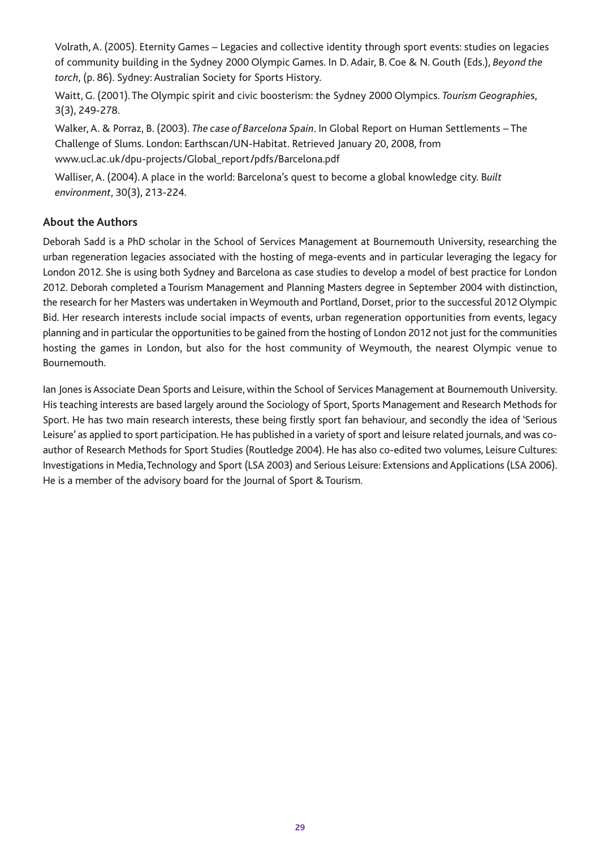Volrath, A. (2005). Eternity Games – Legacies and collective identity through sport events: studies on legacies of community building in the Sydney 2000 Olympic Games. In D. Adair, B. Coe & N. Gouth (Eds.), *Beyond the torch*, (p. 86). Sydney: Australian Society for Sports History.

Waitt, G. (2001). The Olympic spirit and civic boosterism: the Sydney 2000 Olympics. *Tourism Geographie*s, 3(3), 249-278.

Walker, A. & Porraz, B. (2003). *The case of Barcelona Spain*. In Global Report on Human Settlements – The Challenge of Slums. London: Earthscan/UN-Habitat. Retrieved January 20, 2008, from www.ucl.ac.uk/dpu-projects/Global\_report/pdfs/Barcelona.pdf

Walliser, A. (2004). A place in the world: Barcelona's quest to become a global knowledge city. B*uilt environment*, 30(3), 213-224.

### **About the Authors**

Deborah Sadd is a PhD scholar in the School of Services Management at Bournemouth University, researching the urban regeneration legacies associated with the hosting of mega-events and in particular leveraging the legacy for London 2012. She is using both Sydney and Barcelona as case studies to develop a model of best practice for London 2012. Deborah completed a Tourism Management and Planning Masters degree in September 2004 with distinction, the research for her Masters was undertaken in Weymouth and Portland, Dorset, prior to the successful 2012 Olympic Bid. Her research interests include social impacts of events, urban regeneration opportunities from events, legacy planning and in particular the opportunities to be gained from the hosting of London 2012 not just for the communities hosting the games in London, but also for the host community of Weymouth, the nearest Olympic venue to Bournemouth.

Ian Jones is Associate Dean Sports and Leisure, within the School of Services Management at Bournemouth University. His teaching interests are based largely around the Sociology of Sport, Sports Management and Research Methods for Sport. He has two main research interests, these being firstly sport fan behaviour, and secondly the idea of 'Serious Leisure' as applied to sport participation. He has published in a variety of sport and leisure related journals, and was coauthor of Research Methods for Sport Studies (Routledge 2004). He has also co-edited two volumes, Leisure Cultures: Investigations in Media, Technology and Sport (LSA 2003) and Serious Leisure: Extensions and Applications (LSA 2006). He is a member of the advisory board for the Journal of Sport & Tourism.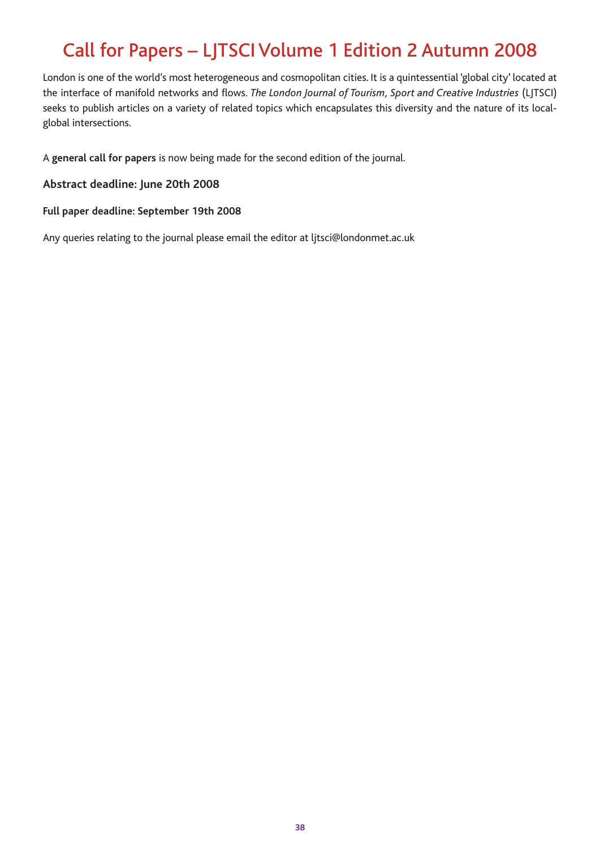# Call for Papers – LJTSCI Volume 1 Edition 2 Autumn 2008

London is one of the world's most heterogeneous and cosmopolitan cities. It is a quintessential 'global city' located at the interface of manifold networks and flows. *The London Journal of Tourism, Sport and Creative Industries* (LJTSCI) seeks to publish articles on a variety of related topics which encapsulates this diversity and the nature of its localglobal intersections.

A **general call for papers** is now being made for the second edition of the journal.

**Abstract deadline: June 20th 2008**

**Full paper deadline: September 19th 2008**

Any queries relating to the journal please email the editor at ljtsci@londonmet.ac.uk